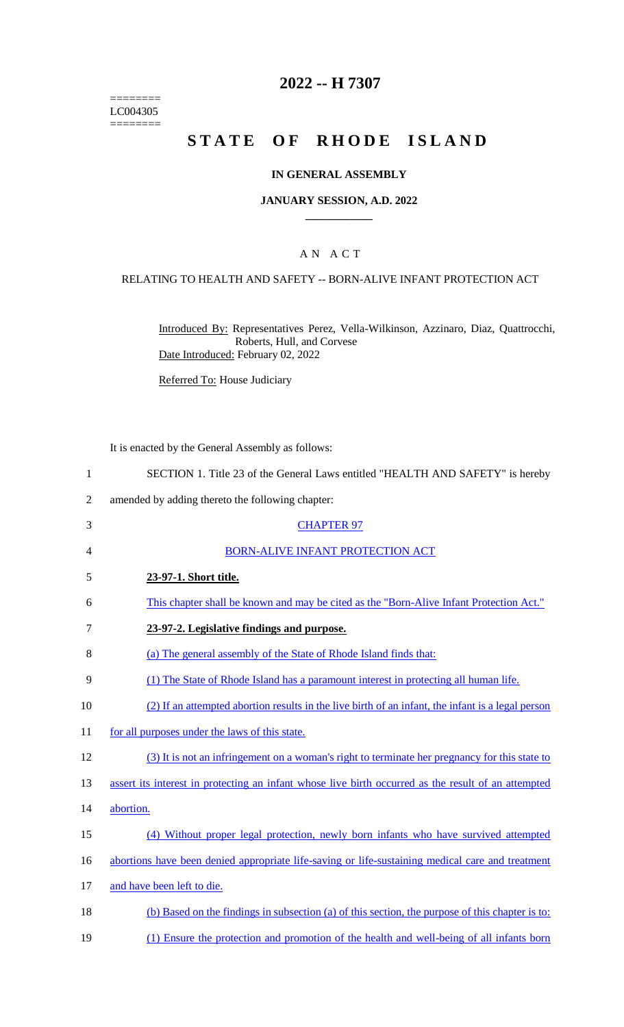======== LC004305  $=$ 

# **2022 -- H 7307**

# **STATE OF RHODE ISLAND**

#### **IN GENERAL ASSEMBLY**

#### **JANUARY SESSION, A.D. 2022 \_\_\_\_\_\_\_\_\_\_\_\_**

## A N A C T

#### RELATING TO HEALTH AND SAFETY -- BORN-ALIVE INFANT PROTECTION ACT

Introduced By: Representatives Perez, Vella-Wilkinson, Azzinaro, Diaz, Quattrocchi, Roberts, Hull, and Corvese Date Introduced: February 02, 2022

Referred To: House Judiciary

It is enacted by the General Assembly as follows:

| SECTION 1. Title 23 of the General Laws entitled "HEALTH AND SAFETY" is hereby |
|--------------------------------------------------------------------------------|
|--------------------------------------------------------------------------------|

2 amended by adding thereto the following chapter:

| 3  | <b>CHAPTER 97</b>                                                                                   |
|----|-----------------------------------------------------------------------------------------------------|
| 4  | BORN-ALIVE INFANT PROTECTION ACT                                                                    |
| 5  | 23-97-1. Short title.                                                                               |
| 6  | This chapter shall be known and may be cited as the "Born-Alive Infant Protection Act."             |
| 7  | 23-97-2. Legislative findings and purpose.                                                          |
| 8  | (a) The general assembly of the State of Rhode Island finds that:                                   |
| 9  | (1) The State of Rhode Island has a paramount interest in protecting all human life.                |
| 10 | (2) If an attempted abortion results in the live birth of an infant, the infant is a legal person   |
| 11 | for all purposes under the laws of this state.                                                      |
| 12 | (3) It is not an infringement on a woman's right to terminate her pregnancy for this state to       |
| 13 | assert its interest in protecting an infant whose live birth occurred as the result of an attempted |
| 14 | abortion.                                                                                           |
| 15 | (4) Without proper legal protection, newly born infants who have survived attempted                 |
| 16 | abortions have been denied appropriate life-saving or life-sustaining medical care and treatment    |
| 17 | and have been left to die.                                                                          |
| 18 | (b) Based on the findings in subsection (a) of this section, the purpose of this chapter is to:     |
| 19 | (1) Ensure the protection and promotion of the health and well-being of all infants born            |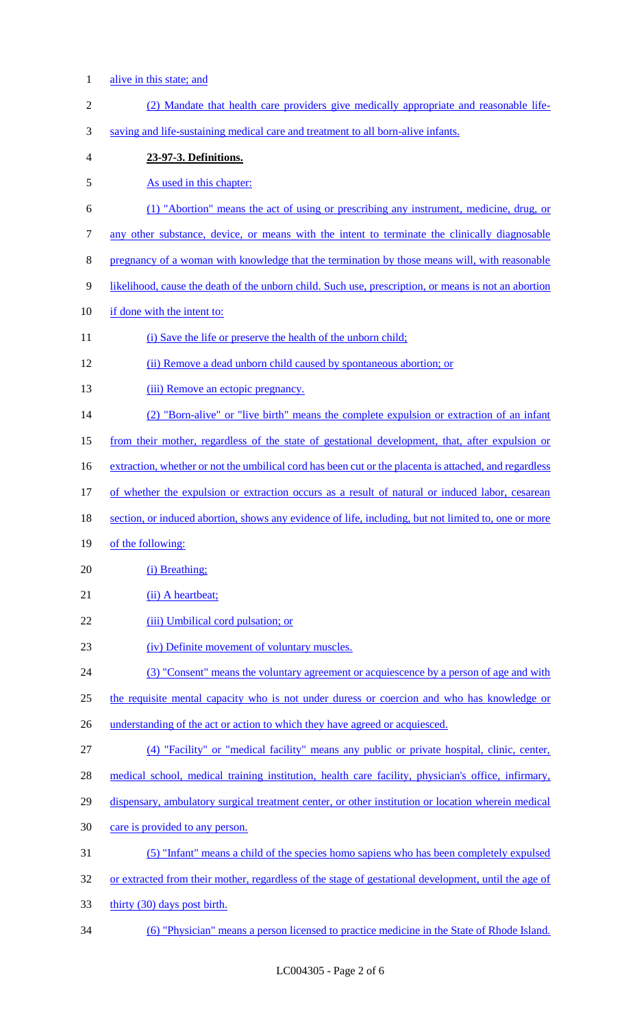- alive in this state; and
- (2) Mandate that health care providers give medically appropriate and reasonable life- saving and life-sustaining medical care and treatment to all born-alive infants. **23-97-3. Definitions.**  As used in this chapter: (1) "Abortion" means the act of using or prescribing any instrument, medicine, drug, or any other substance, device, or means with the intent to terminate the clinically diagnosable pregnancy of a woman with knowledge that the termination by those means will, with reasonable likelihood, cause the death of the unborn child. Such use, prescription, or means is not an abortion if done with the intent to: 11 (i) Save the life or preserve the health of the unborn child; (ii) Remove a dead unborn child caused by spontaneous abortion; or 13 (iii) Remove an ectopic pregnancy. (2) "Born-alive" or "live birth" means the complete expulsion or extraction of an infant from their mother, regardless of the state of gestational development, that, after expulsion or 16 extraction, whether or not the umbilical cord has been cut or the placenta is attached, and regardless of whether the expulsion or extraction occurs as a result of natural or induced labor, cesarean section, or induced abortion, shows any evidence of life, including, but not limited to, one or more of the following: 20 (i) Breathing; 21 (ii) A heartbeat; 22 (iii) Umbilical cord pulsation; or (iv) Definite movement of voluntary muscles. (3) "Consent" means the voluntary agreement or acquiescence by a person of age and with 25 the requisite mental capacity who is not under duress or coercion and who has knowledge or 26 understanding of the act or action to which they have agreed or acquiesced. (4) "Facility" or "medical facility" means any public or private hospital, clinic, center, medical school, medical training institution, health care facility, physician's office, infirmary, 29 dispensary, ambulatory surgical treatment center, or other institution or location wherein medical care is provided to any person. (5) "Infant" means a child of the species homo sapiens who has been completely expulsed 32 or extracted from their mother, regardless of the stage of gestational development, until the age of thirty (30) days post birth.
- (6) "Physician" means a person licensed to practice medicine in the State of Rhode Island.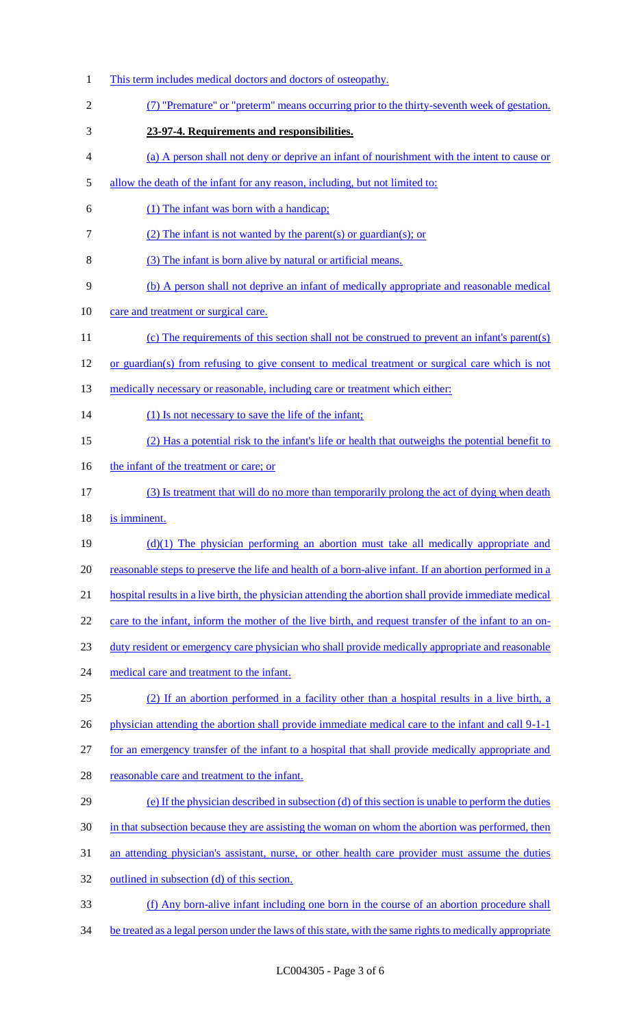This term includes medical doctors and doctors of osteopathy. (7) "Premature" or "preterm" means occurring prior to the thirty-seventh week of gestation. **23-97-4. Requirements and responsibilities.**  (a) A person shall not deny or deprive an infant of nourishment with the intent to cause or allow the death of the infant for any reason, including, but not limited to: (1) The infant was born with a handicap; (2) The infant is not wanted by the parent(s) or guardian(s); or (3) The infant is born alive by natural or artificial means. (b) A person shall not deprive an infant of medically appropriate and reasonable medical care and treatment or surgical care. (c) The requirements of this section shall not be construed to prevent an infant's parent(s) or guardian(s) from refusing to give consent to medical treatment or surgical care which is not 13 medically necessary or reasonable, including care or treatment which either: 14 (1) Is not necessary to save the life of the infant; (2) Has a potential risk to the infant's life or health that outweighs the potential benefit to 16 the infant of the treatment or care; or (3) Is treatment that will do no more than temporarily prolong the act of dying when death is imminent. (d)(1) The physician performing an abortion must take all medically appropriate and reasonable steps to preserve the life and health of a born-alive infant. If an abortion performed in a hospital results in a live birth, the physician attending the abortion shall provide immediate medical 22 care to the infant, inform the mother of the live birth, and request transfer of the infant to an on- duty resident or emergency care physician who shall provide medically appropriate and reasonable 24 medical care and treatment to the infant. (2) If an abortion performed in a facility other than a hospital results in a live birth, a 26 physician attending the abortion shall provide immediate medical care to the infant and call 9-1-1 27 for an emergency transfer of the infant to a hospital that shall provide medically appropriate and reasonable care and treatment to the infant. (e) If the physician described in subsection (d) of this section is unable to perform the duties 30 in that subsection because they are assisting the woman on whom the abortion was performed, then an attending physician's assistant, nurse, or other health care provider must assume the duties outlined in subsection (d) of this section. (f) Any born-alive infant including one born in the course of an abortion procedure shall 34 be treated as a legal person under the laws of this state, with the same rights to medically appropriate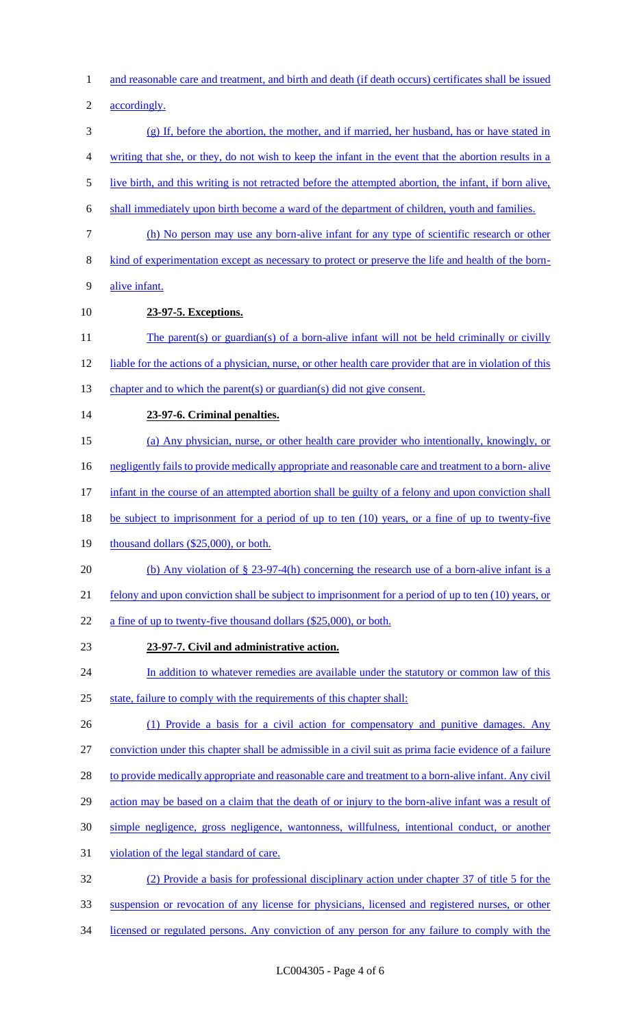1 and reasonable care and treatment, and birth and death (if death occurs) certificates shall be issued

2 accordingly.

- 3 (g) If, before the abortion, the mother, and if married, her husband, has or have stated in 4 writing that she, or they, do not wish to keep the infant in the event that the abortion results in a
- 5 live birth, and this writing is not retracted before the attempted abortion, the infant, if born alive,
- 6 shall immediately upon birth become a ward of the department of children, youth and families.
- 7 (h) No person may use any born-alive infant for any type of scientific research or other
- 8 kind of experimentation except as necessary to protect or preserve the life and health of the born-
- 9 alive infant.
- 10 **23-97-5. Exceptions.**
- 11 The parent(s) or guardian(s) of a born-alive infant will not be held criminally or civilly
- 12 liable for the actions of a physician, nurse, or other health care provider that are in violation of this
- 13 chapter and to which the parent(s) or guardian(s) did not give consent.
- 14 **23-97-6. Criminal penalties.**
- 15 (a) Any physician, nurse, or other health care provider who intentionally, knowingly, or
- 16 negligently fails to provide medically appropriate and reasonable care and treatment to a born- alive
- 17 infant in the course of an attempted abortion shall be guilty of a felony and upon conviction shall
- 18 be subject to imprisonment for a period of up to ten (10) years, or a fine of up to twenty-five
- 19 thousand dollars (\$25,000), or both.
- 20 (b) Any violation of § 23-97-4(h) concerning the research use of a born-alive infant is a
- 21 felony and upon conviction shall be subject to imprisonment for a period of up to ten (10) years, or
- 22 a fine of up to twenty-five thousand dollars (\$25,000), or both.
- 23 **23-97-7. Civil and administrative action.**
- 24 In addition to whatever remedies are available under the statutory or common law of this 25 state, failure to comply with the requirements of this chapter shall:
- 26 (1) Provide a basis for a civil action for compensatory and punitive damages. Any
- 27 conviction under this chapter shall be admissible in a civil suit as prima facie evidence of a failure
- 28 to provide medically appropriate and reasonable care and treatment to a born-alive infant. Any civil
- 29 action may be based on a claim that the death of or injury to the born-alive infant was a result of
- 30 simple negligence, gross negligence, wantonness, willfulness, intentional conduct, or another
- 31 violation of the legal standard of care.
- 32 (2) Provide a basis for professional disciplinary action under chapter 37 of title 5 for the
- 33 suspension or revocation of any license for physicians, licensed and registered nurses, or other
- 34 licensed or regulated persons. Any conviction of any person for any failure to comply with the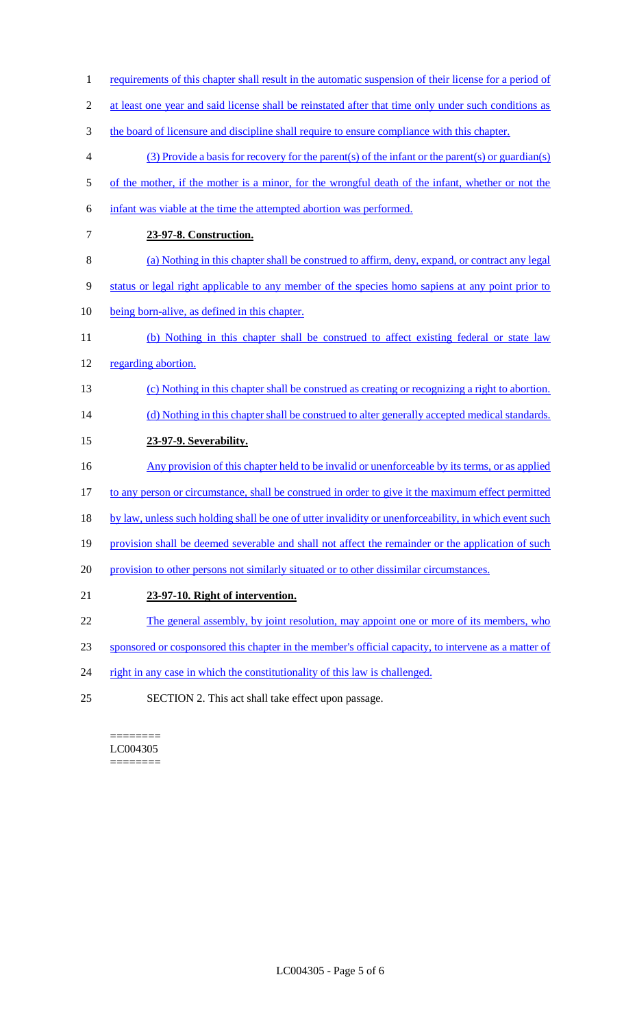- 1 requirements of this chapter shall result in the automatic suspension of their license for a period of
- 2 at least one year and said license shall be reinstated after that time only under such conditions as
- 3 the board of licensure and discipline shall require to ensure compliance with this chapter.
- 4 (3) Provide a basis for recovery for the parent(s) of the infant or the parent(s) or guardian(s)
- 5 of the mother, if the mother is a minor, for the wrongful death of the infant, whether or not the
- 6 infant was viable at the time the attempted abortion was performed.
- 7 **23-97-8. Construction.**
- 8 (a) Nothing in this chapter shall be construed to affirm, deny, expand, or contract any legal
- 9 status or legal right applicable to any member of the species homo sapiens at any point prior to
- 10 being born-alive, as defined in this chapter.
- 11 (b) Nothing in this chapter shall be construed to affect existing federal or state law 12 regarding abortion.
- 13 (c) Nothing in this chapter shall be construed as creating or recognizing a right to abortion.
- 14 (d) Nothing in this chapter shall be construed to alter generally accepted medical standards.
- 15 **23-97-9. Severability.**
- 16 Any provision of this chapter held to be invalid or unenforceable by its terms, or as applied
- 17 to any person or circumstance, shall be construed in order to give it the maximum effect permitted
- 18 by law, unless such holding shall be one of utter invalidity or unenforceability, in which event such
- 19 provision shall be deemed severable and shall not affect the remainder or the application of such
- 20 provision to other persons not similarly situated or to other dissimilar circumstances.
- 21 **23-97-10. Right of intervention.**
- 22 The general assembly, by joint resolution, may appoint one or more of its members, who
- 23 sponsored or cosponsored this chapter in the member's official capacity, to intervene as a matter of
- 24 right in any case in which the constitutionality of this law is challenged.
- 25 SECTION 2. This act shall take effect upon passage.

======== LC004305 ========